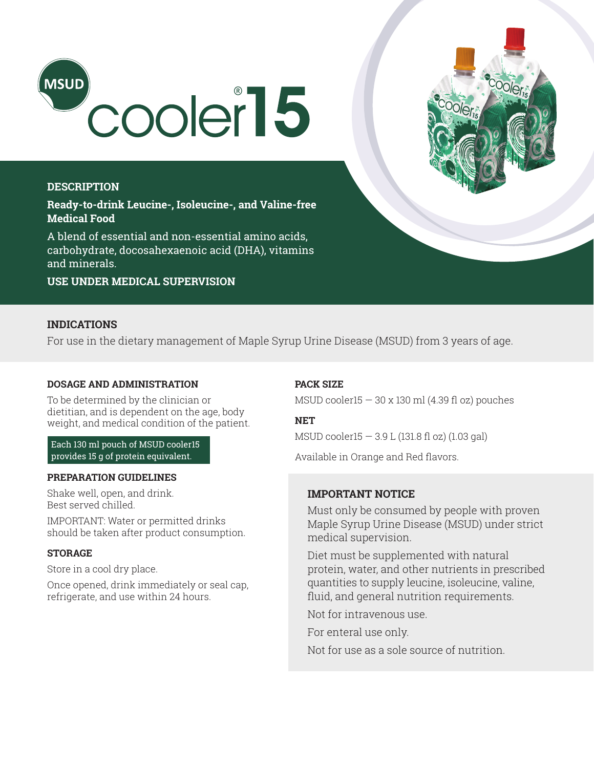

# **DESCRIPTION**

**Ready-to-drink Leucine-, Isoleucine-, and Valine-free Medical Food** 

A blend of essential and non-essential amino acids, carbohydrate, docosahexaenoic acid (DHA), vitamins and minerals.

**USE UNDER MEDICAL SUPERVISION**

## **INDICATIONS**

For use in the dietary management of Maple Syrup Urine Disease (MSUD) from 3 years of age.

# **DOSAGE AND ADMINISTRATION**

To be determined by the clinician or dietitian, and is dependent on the age, body weight, and medical condition of the patient.

Each 130 ml pouch of MSUD cooler15 provides 15 g of protein equivalent.

#### **PREPARATION GUIDELINES**

Shake well, open, and drink. Best served chilled.

IMPORTANT: Water or permitted drinks should be taken after product consumption.

### **STORAGE**

Store in a cool dry place.

Once opened, drink immediately or seal cap, refrigerate, and use within 24 hours.

### **PACK SIZE**

MSUD cooler15  $-$  30 x 130 ml (4.39 fl oz) pouches

### **NET**

MSUD cooler15 — 3.9 L (131.8 fl oz) (1.03 gal)

Available in Orange and Red flavors.

## **IMPORTANT NOTICE**

Must only be consumed by people with proven Maple Syrup Urine Disease (MSUD) under strict medical supervision.

Diet must be supplemented with natural protein, water, and other nutrients in prescribed quantities to supply leucine, isoleucine, valine, fluid, and general nutrition requirements.

Not for intravenous use.

For enteral use only.

Not for use as a sole source of nutrition.